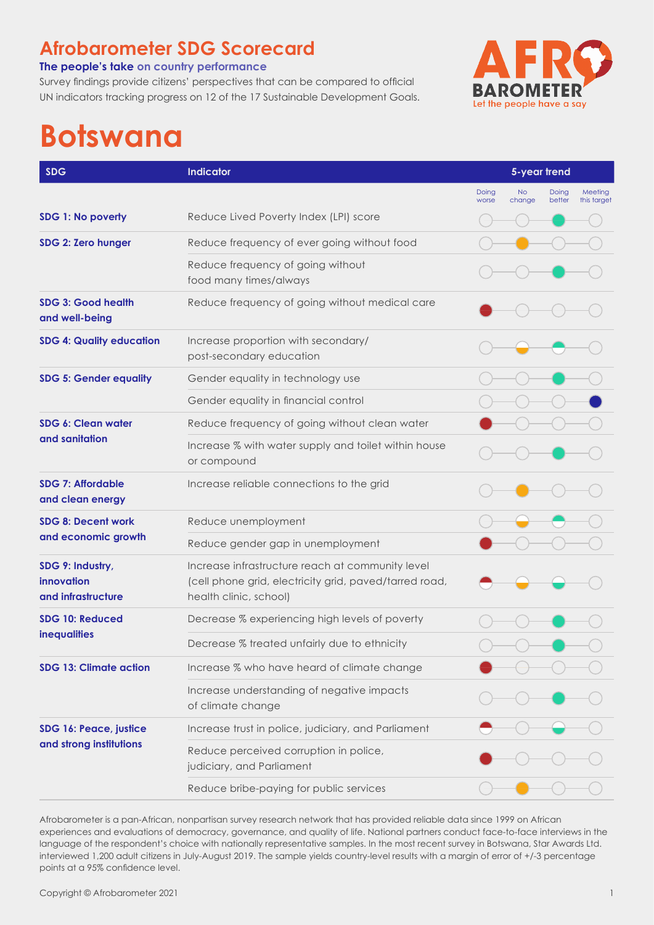## **Afrobarometer SDG Scorecard**

#### **The people's take on country performance**

Survey findings provide citizens' perspectives that can be compared to official UN indicators tracking progress on 12 of the 17 Sustainable Development Goals.



# **Botswana**

| <b>SDG</b>                                           | Indicator                                                                                                                            |                | 5-year trend        |                 |                        |  |
|------------------------------------------------------|--------------------------------------------------------------------------------------------------------------------------------------|----------------|---------------------|-----------------|------------------------|--|
|                                                      |                                                                                                                                      | Doing<br>worse | <b>No</b><br>change | Doing<br>better | Meeting<br>this target |  |
| SDG 1: No poverty                                    | Reduce Lived Poverty Index (LPI) score                                                                                               |                |                     |                 |                        |  |
| SDG 2: Zero hunger                                   | Reduce frequency of ever going without food                                                                                          |                |                     |                 |                        |  |
|                                                      | Reduce frequency of going without<br>food many times/always                                                                          |                |                     |                 |                        |  |
| <b>SDG 3: Good health</b><br>and well-being          | Reduce frequency of going without medical care                                                                                       |                |                     |                 |                        |  |
| <b>SDG 4: Quality education</b>                      | Increase proportion with secondary/<br>post-secondary education                                                                      |                |                     |                 |                        |  |
| <b>SDG 5: Gender equality</b>                        | Gender equality in technology use                                                                                                    |                |                     |                 |                        |  |
|                                                      | Gender equality in financial control                                                                                                 |                |                     |                 |                        |  |
| SDG 6: Clean water<br>and sanitation                 | Reduce frequency of going without clean water                                                                                        |                |                     |                 |                        |  |
|                                                      | Increase % with water supply and toilet within house<br>or compound                                                                  |                |                     |                 |                        |  |
| <b>SDG 7: Affordable</b><br>and clean energy         | Increase reliable connections to the grid                                                                                            |                |                     |                 |                        |  |
| <b>SDG 8: Decent work</b><br>and economic growth     | Reduce unemployment                                                                                                                  |                |                     |                 |                        |  |
|                                                      | Reduce gender gap in unemployment                                                                                                    |                |                     |                 |                        |  |
| SDG 9: Industry,<br>innovation<br>and infrastructure | Increase infrastructure reach at community level<br>(cell phone grid, electricity grid, paved/tarred road,<br>health clinic, school) |                |                     |                 |                        |  |
| SDG 10: Reduced<br><b>inequalities</b>               | Decrease % experiencing high levels of poverty                                                                                       |                |                     |                 |                        |  |
|                                                      | Decrease % treated unfairly due to ethnicity                                                                                         |                |                     |                 |                        |  |
| <b>SDG 13: Climate action</b>                        | Increase % who have heard of climate change                                                                                          |                |                     |                 |                        |  |
|                                                      | Increase understanding of negative impacts<br>of climate change                                                                      |                |                     |                 |                        |  |
| SDG 16: Peace, justice<br>and strong institutions    | Increase trust in police, judiciary, and Parliament                                                                                  |                |                     |                 |                        |  |
|                                                      | Reduce perceived corruption in police,<br>judiciary, and Parliament                                                                  |                |                     |                 |                        |  |
|                                                      | Reduce bribe-paying for public services                                                                                              |                |                     |                 |                        |  |

Afrobarometer is a pan-African, nonpartisan survey research network that has provided reliable data since 1999 on African experiences and evaluations of democracy, governance, and quality of life. National partners conduct face-to-face interviews in the language of the respondent's choice with nationally representative samples. In the most recent survey in Botswana, Star Awards Ltd. interviewed 1,200 adult citizens in July-August 2019. The sample yields country-level results with a margin of error of +/-3 percentage points at a 95% confidence level.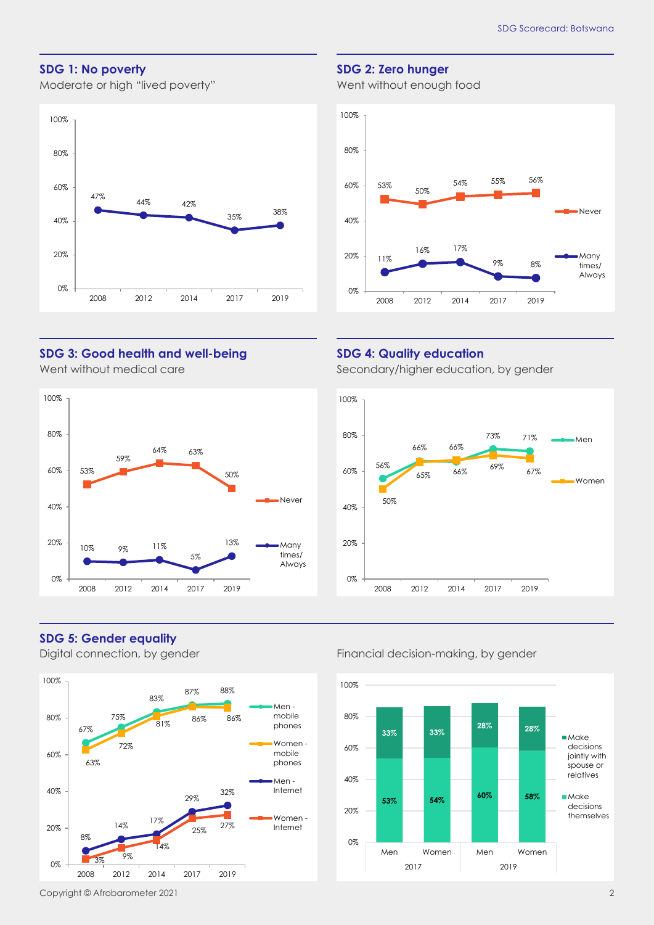#### **SDG 1: No poverty**

Moderate or high "lived poverty"



#### **SDG 2: Zero hunger**

Went without enough food



#### **SDG 3: Good health and well-being**

Went without medical care



#### **SDG 4: Quality education**

Secondary/higher education, by gender



#### **SDG 5: Gender equality**



#### Digital connection, by gender Financial decision-making, by gender

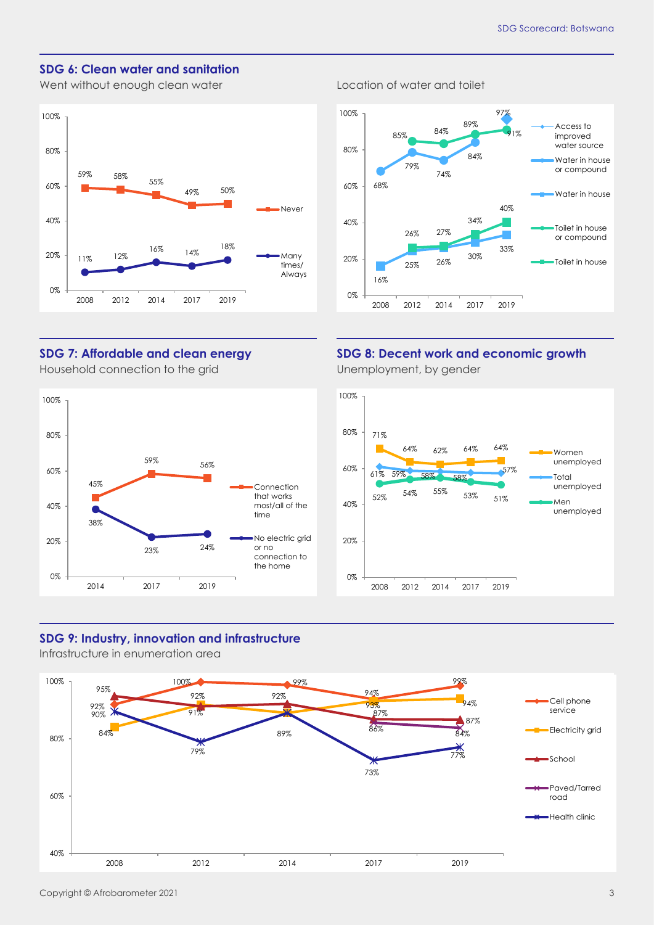Access to

#### **SDG 6: Clean water and sanitation**

Went without enough clean water **Location** cleater and toilet



#### 68% 79% 74% 84% 16% 25% 26% 30% 33% 85% 84% 91% 26% 27% 34%  $40%$ 0% 20% 40% 60% 80% 2008 2012 2014 2017 2019 improved water source Water in house or compound Water in house Toilet in house or compound Toilet in house

89%

97%

### **SDG 8: Decent work and economic growth**

Unemployment, by gender

100%



#### **SDG 7: Affordable and clean energy** Household connection to the grid



#### **SDG 9: Industry, innovation and infrastructure**

Infrastructure in enumeration area

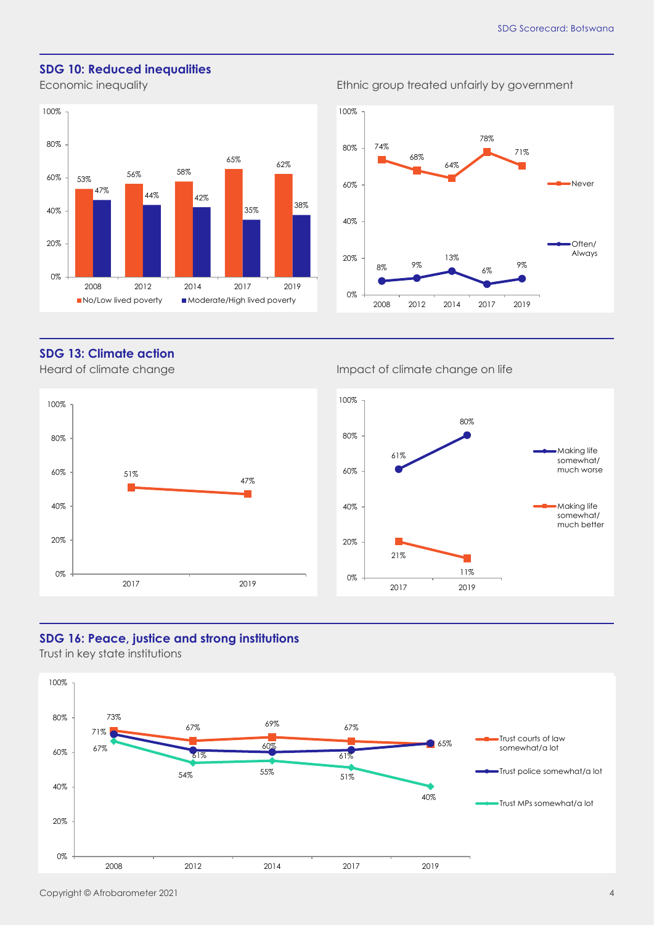#### **SDG 10: Reduced inequalities**



#### Economic inequality **Example 2018** Ethnic group treated unfairly by government



#### **SDG 13: Climate action**



#### Heard of climate change Impact of climate change on life



#### **SDG 16: Peace, justice and strong institutions**

Trust in key state institutions

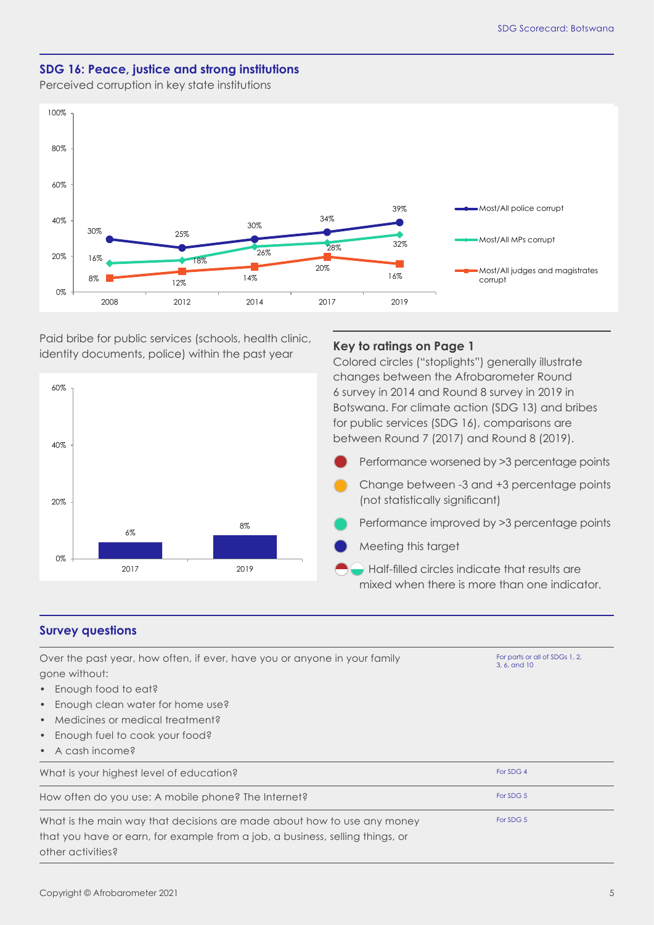#### **SDG 16: Peace, justice and strong institutions**

Perceived corruption in key state institutions



Paid bribe for public services (schools, health clinic, identity documents, police) within the past year

2017 2019

8%

#### **Key to ratings on Page 1**

Colored circles ("stoplights") generally illustrate changes between the Afrobarometer Round 6 survey in 2014 and Round 8 survey in 2019 in Botswana. For climate action (SDG 13) and bribes for public services (SDG 16), comparisons are between Round 7 (2017) and Round 8 (2019).

Performance worsened by >3 percentage points Change between -3 and +3 percentage points (not statistically significant) Performance improved by >3 percentage points

- 
- Meeting this target

 Half-filled circles indicate that results are mixed when there is more than one indicator.

#### **Survey questions**

0%

20%

40%

60%

 $6%$ 

| Over the past year, how often, if ever, have you or anyone in your family<br>gone without: | For parts or all of SDGs 1, 2,<br>3, 6, and 10 |  |  |
|--------------------------------------------------------------------------------------------|------------------------------------------------|--|--|
| Enough food to eat?<br>$\bullet$                                                           |                                                |  |  |
| Enough clean water for home use?<br>$\bullet$                                              |                                                |  |  |
| Medicines or medical treatment?<br>$\bullet$                                               |                                                |  |  |
| Enough fuel to cook your food?<br>$\bullet$                                                |                                                |  |  |
| $\bullet$ A cash income?                                                                   |                                                |  |  |
| What is your highest level of education?                                                   | For SDG 4                                      |  |  |
| How often do you use: A mobile phone? The Internet?                                        | For SDG 5                                      |  |  |
| What is the main way that decisions are made about how to use any money                    | For SDG 5                                      |  |  |
| that you have or earn, for example from a job, a business, selling things, or              |                                                |  |  |
| other activities?                                                                          |                                                |  |  |